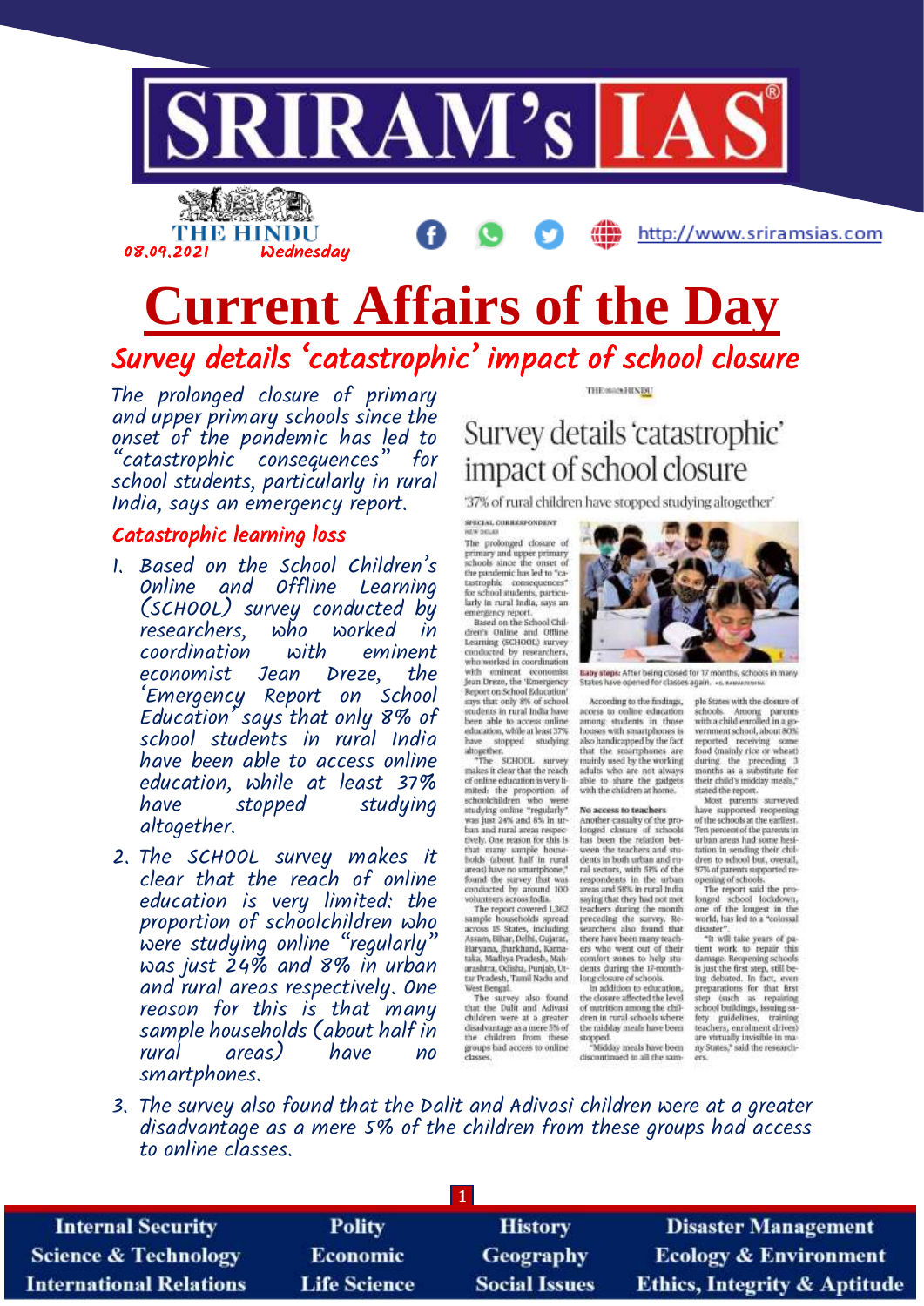

# **Current Affairs of the Day** Survey details 'catastrophic' impact of school closure

The prolonged closure of primary and upper primary schools since the onset of the pandemic has led to "catastrophic consequences" for school students, particularly in rural India, says an emergency report.

#### Catastrophic learning loss

08.09.2021 Wednesday

THE HINDU

- 1. Based on the School Children's Online and Offline Learning (SCHOOL) survey conducted by<br>researchers. who worked in researchers, who worked in<br>coordination with eminent coordination with eminent economist Jean 'Emergency Report on School Education' says that only 8% of school students in rural India have been able to access online education, while at least 37% stopped studying altogether.
- 2. The SCHOOL survey makes it clear that the reach of online education is very limited: the proportion of schoolchildren who were studying online "regularly" was just 24% and 8% in urban and rural areas respectively. One reason for this is that many sample households (about half in areas) have no smartphones.

THE MANHINDE

## Survey details 'catastrophic' impact of school closure

'37% of rural children have stopped studying altogether'

SPECIAL CORRESPONDENT

The prolonged closure of<br>primary and upper primary<br>schools aince the onset of the pandemic has led to "ca-<br>tastrophic consequences"<br>for school students, particularly in rural india, says an emergency report.<br>Based on the School Chil-

dren's Online and Offline Learning (SCHOOL) survey<br>conducted by researchers,<br>who worked in coordination with eminent economist<br>Jean Dreze, the 'Emergency<br>Report on School Education'<br>says that only 8% of school students in rural India have been able to access online<br>education, while at least 37%

have stopped studying<br>altogether.<br>"The SCHOOL survey makes it clear that the reach of online education is very limitted: the proportion of<br>schoolchildren who were<br>studying online "regularly"<br>was just 24% and 8% in urban and rural areas respectively. One reason for this is that many sample house-<br>boids (about half in rural areas) have no smartphone,"<br>found the survey that was<br>conducted by around 100

conducted by around 100<br>wolunteers across fodia.<br>The report covered 1,362<br>sample households spread<br>across IS States, including<br>Assam, Bihar, Delhi, Gujarar,<br>haryana, Jharkhand, Karna-<br>taka, Madhya Pundah, Man<br>araskers. Odi arashtra, Odisha, Punjab, Ut-<br>tar Pradesh, Tamil Nadu and<br>West Bengal

West Bengai<br>The survey also found<br>that the Dulli and Adivasi<br>children were at a greater<br>disadvantage as a mere 5% of the children from these groups had access to online<br>classes.



Baby steps: After being closed for 17 months, schools in many<br>States have coered for classes again. . . . see a summary ed for classes again. +o. x.

According to the findings, access to online education<br>among students in those<br>houses with smartphones is<br>also handicapped by the fact that the smartphones are mainly used by the working<br>adults who are not always able to share the gadgets with the children at home

#### No access to teachers

Another casualty of the pro-<br>longed clasure of schools<br>has been the relation bet-<br>ween the teachers and students in both urban and rural sectors, with 51% of the<br>respondents in the urban<br>areas and 58% in rural India saying that they had not met<br>teachers during the month<br>preceding the survey. Re-<br>searchers also found that there have been many teach-<br>ers who went out of their<br>comfort zones to help students during the 17-month-<br>long closure of schools.<br>In addition to education,

the closure affected the level of matrition among the chil-<br>dren in rural schools where<br>the midday meals have been the midday meals have been<br>stopped.<br>"Midday meals have been<br>discontinued in all the sam-

ple States with the closure of schools. Among parents<br>with a child enrolled in a go-<br>wrnment school, about 80%<br>reported receiving some Food (mainly rice or wheat)<br>during the preceding 3<br>months as a substitute for<br>their child's midday meals,"

http://www.sriramsias.com

stated the report.<br>Most parents surveyed<br>have supported reopening of the schools at the earliest Ten percent of the parents in<br>urban areas had some hesitation in sending their chil

tation in sending their chil-<br>dream to school but, overall,<br>s7% of parents aspported re-<br>opening of schools.<br>The report said the pro-<br>longed school lockdown,<br>one of the longest in the<br>world, has led to a "colossal<br>distance disaster"

"It will take yours of pa-<br>tient work to repair this<br>damage. Reopening schools is just the first step, still being debated. In fact, even<br>preparations for that first<br>step (such as repairing school buildings, issuing safety<br>fety guidelines, training<br>teachers, enrolment drives) are virtually invisible in many States," said the research-

3. The survey also found that the Dalit and Adivasi children were at a greater disadvantage as a mere 5% of the children from these groups had access to online classes.

| <b>Internal Security</b>        | <b>Polity</b>       | <b>History</b>       | <b>Disaster Management</b>              |
|---------------------------------|---------------------|----------------------|-----------------------------------------|
| <b>Science &amp; Technology</b> | <b>Economic</b>     | Geography            | <b>Ecology &amp; Environment</b>        |
| <b>International Relations</b>  | <b>Life Science</b> | <b>Social Issues</b> | <b>Ethics, Integrity &amp; Aptitude</b> |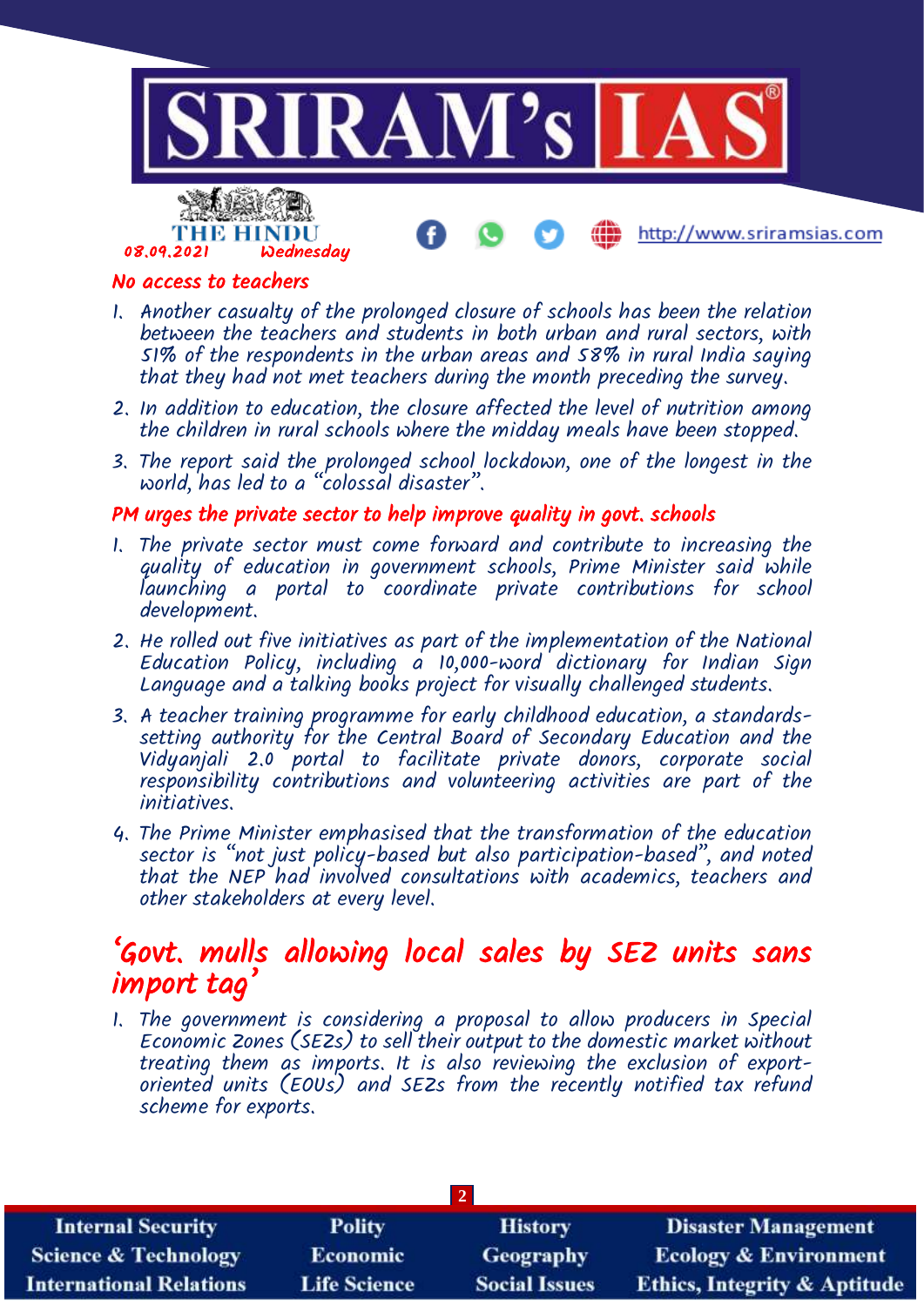

## No access to teachers

- 1. Another casualty of the prolonged closure of schools has been the relation between the teachers and students in both urban and rural sectors, with 51% of the respondents in the urban areas and 58% in rural India saying that they had not met teachers during the month preceding the survey.
- 2. In addition to education, the closure affected the level of nutrition among the children in rural schools where the midday meals have been stopped.
- 3. The report said the prolonged school lockdown, one of the longest in the world, has led to a "colossal disaster".

#### PM urges the private sector to help improve quality in govt. schools

- 1. The private sector must come forward and contribute to increasing the quality of education in government schools, Prime Minister said while launching a portal to coordinate private contributions for school development.
- 2. He rolled out five initiatives as part of the implementation of the National Education Policy, including  $\alpha$  10,000-word dictionary for Indian Sign Language and a talking books project for visually challenged students.
- 3. A teacher training programme for early childhood education, a standardssetting authority for the Central Board of Secondary Education and the Vidyanjali 2.0 portal to facilitate private donors, corporate social responsibility contributions and volunteering activities are part of the initiatives.
- 4. The Prime Minister emphasised that the transformation of the education sector is "not just policy-based but also participation-based", and noted that the NEP had involved consultations with academics, teachers and other stakeholders at every level.

## 'Govt. mulls allowing local sales by SEZ units sans import tag'

1. The government is considering a proposal to allow producers in Special Economic Zones (SEZs) to sell their output to the domestic market without treating them as imports. It is also reviewing the exclusion of exportoriented units (EOUs) and SEZs from the recently notified tax refund scheme for exports.

| <b>Internal Security</b>        | <b>Polity</b>       | <b>History</b>       | <b>Disaster Management</b>              |
|---------------------------------|---------------------|----------------------|-----------------------------------------|
| <b>Science &amp; Technology</b> | <b>Economic</b>     | <b>Geography</b>     | <b>Ecology &amp; Environment</b>        |
| <b>International Relations</b>  | <b>Life Science</b> | <b>Social Issues</b> | <b>Ethics, Integrity &amp; Aptitude</b> |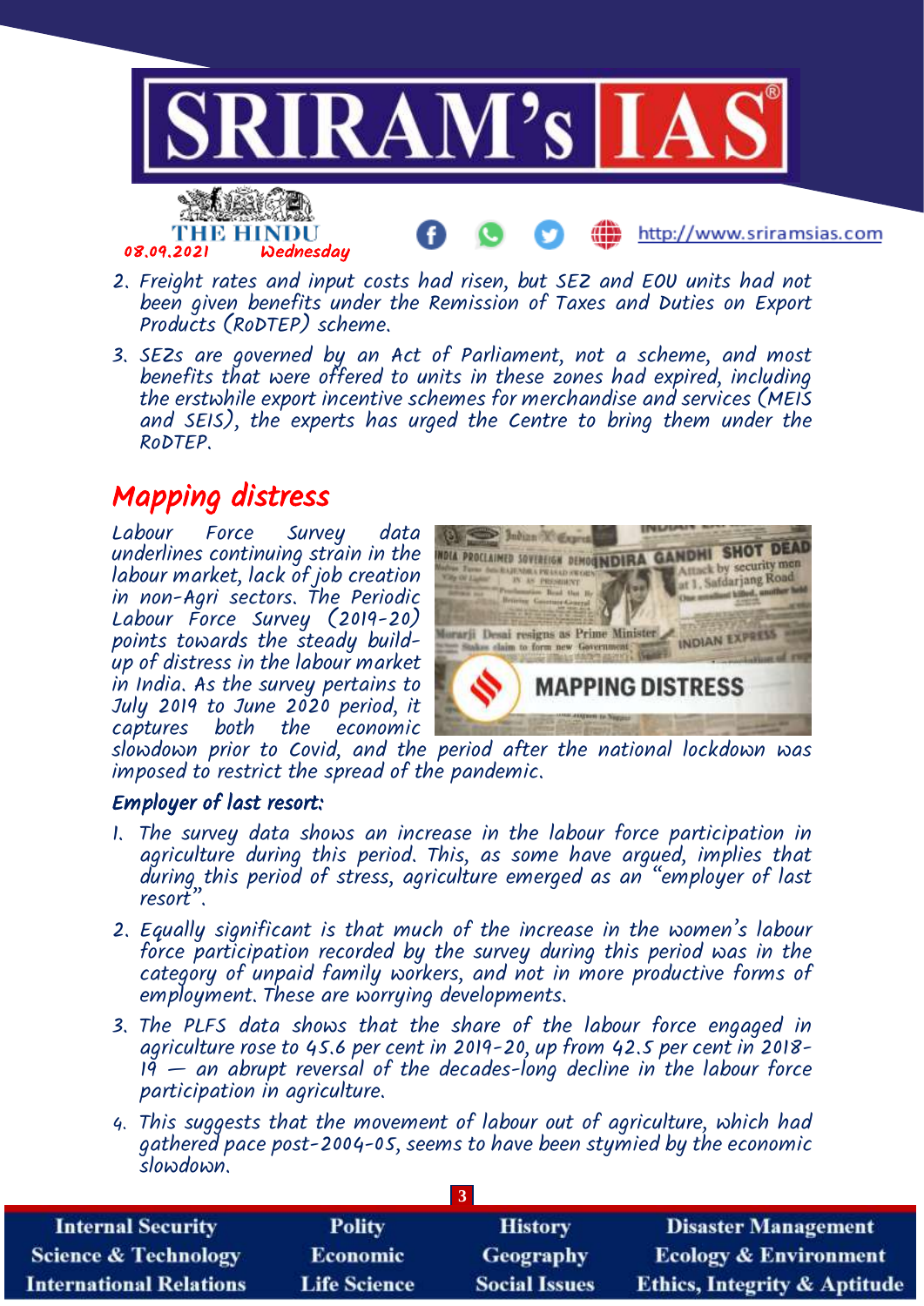

- 2. Freight rates and input costs had risen, but SEZ and EOU units had not been given benefits under the Remission of Taxes and Duties on Export Products (RoDTEP) scheme.
- 3. SEZs are governed by an Act of Parliament, not a scheme, and most benefits that were offered to units in these zones had expired, including the erstwhile export incentive schemes for merchandise and services (MEIS and SEIS), the experts has urged the Centre to bring them under the RoDTEP.

## Mapping distress

Labour Force Survey data underlines continuing strain in the labour market, lack of job creation in non-Agri sectors. The Periodic Labour Force Survey (2019-20) points towards the steady buildup of distress in the labour market in India. As the survey pertains to July 2019 to June 2020 period, it captures both the economic



slowdown prior to Covid, and the period after the national lockdown was imposed to restrict the spread of the pandemic.

## Employer of last resort:

- 1. The survey data shows an increase in the labour force participation in agriculture during this period. This, as some have argued, implies that during this period of stress, agriculture emerged as an "employer of last resort".
- 2. Equally significant is that much of the increase in the women's labour force participation recorded by the survey during this period was in the category of unpaid family workers, and not in more productive forms of employment. These are worrying developments.
- 3. The PLFS data shows that the share of the labour force engaged in agriculture rose to 45.6 per cent in 2019-20, up from 42.5 per cent in 2018-  $19 -$  an abrupt reversal of the decades-long decline in the labour force participation in agriculture.
- 4. This suggests that the movement of labour out of agriculture, which had gathered pace post-2004-05, seems to have been stymied by the economic slowdown.

| <b>Internal Security</b>        | <b>Polity</b>       | <b>History</b>       | <b>Disaster Management</b>              |
|---------------------------------|---------------------|----------------------|-----------------------------------------|
| <b>Science &amp; Technology</b> | <b>Economic</b>     | <b>Geography</b>     | <b>Ecology &amp; Environment</b>        |
| <b>International Relations</b>  | <b>Life Science</b> | <b>Social Issues</b> | <b>Ethics, Integrity &amp; Aptitude</b> |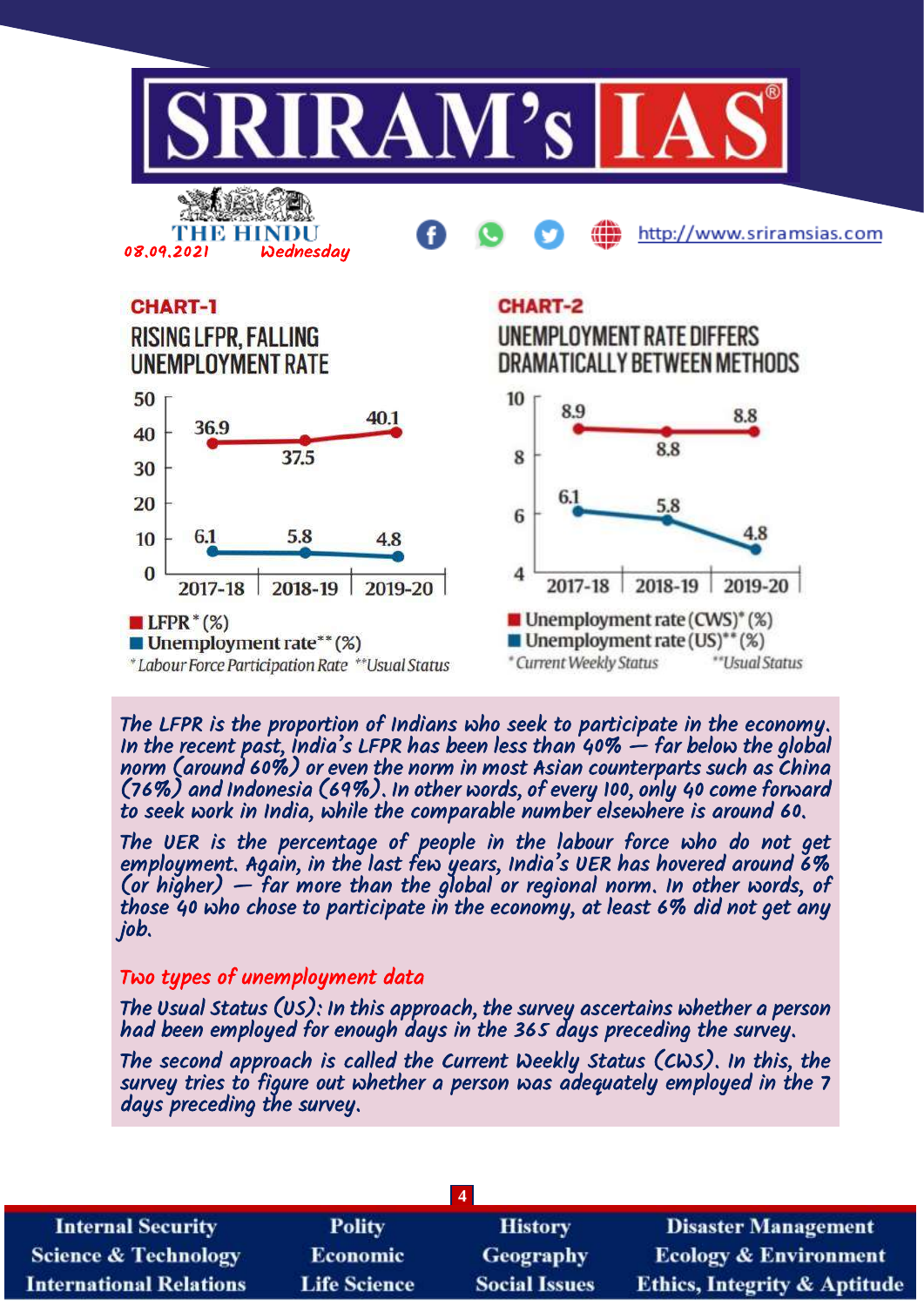

The LFPR is the proportion of Indians who seek to participate in the economy. In the recent past, India's LFPR has been less than 40% — far below the global norm (around 60%) or even the norm in most Asian counterparts such as China (76%) and Indonesia (69%). In other words, of every 100, only 40 come forward to seek work in India, while the comparable number elsewhere is around 60.

The UER is the percentage of people in the labour force who do not get employment. Again, in the last few years, India's UER has hovered around 6% (or higher)  $-$  far more than the global or regional norm. In other words, of those 40 who chose to participate in the economy, at least 6% did not get any job.

## Two types of unemployment data

The Usual Status (US): In this approach, the survey ascertains whether a person had been employed for enough days in the 365 days preceding the survey.

The second approach is called the Current Weekly Status (CWS). In this, the survey tries to figure out whether a person was adequately employed in the 7 days preceding the survey.

| <b>Internal Security</b>        | <b>Polity</b>       | <b>History</b>       | <b>Disaster Management</b>              |
|---------------------------------|---------------------|----------------------|-----------------------------------------|
| <b>Science &amp; Technology</b> | <b>Economic</b>     | Geography            | <b>Ecology &amp; Environment</b>        |
| <b>International Relations</b>  | <b>Life Science</b> | <b>Social Issues</b> | <b>Ethics, Integrity &amp; Aptitude</b> |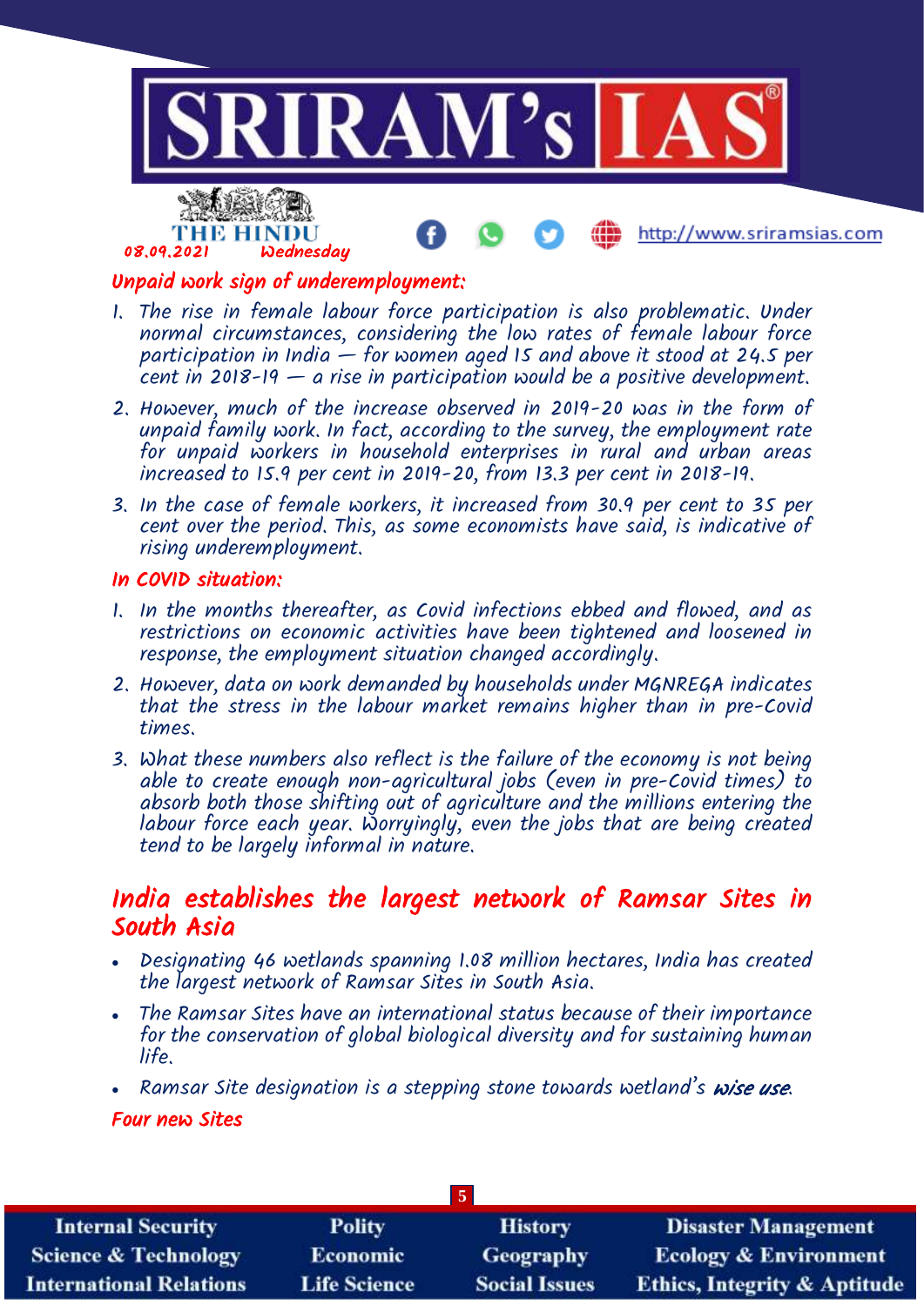

## Unpaid work sign of underemployment:

- 1. The rise in female labour force participation is also problematic. Under normal circumstances, considering the low rates of female labour force participation in India  $-$  for women aged 15 and above it stood at 24.5 per cent in 2018-19  $-$  a rise in participation would be a positive development.
- 2. However, much of the increase observed in 2019-20 was in the form of unpaid family work. In fact, according to the survey, the employment rate for unpaid workers in household enterprises in rural and urban areas increased to 15.9 per cent in 2019-20, from 13.3 per cent in 2018-19.
- 3. In the case of female workers, it increased from 30.9 per cent to 35 per cent over the period. This, as some economists have said, is indicative of rising underemployment.

## In COVID situation:

- 1. In the months thereafter, as Covid infections ebbed and flowed, and as restrictions on economic activities have been tightened and loosened in response, the employment situation changed accordingly.
- 2. However, data on work demanded by households under MGNREGA indicates that the stress in the labour market remains higher than in pre-Covid times.
- 3. What these numbers also reflect is the failure of the economy is not being able to create enough non-agricultural jobs (even in pre-Covid times) to absorb both those shifting out of agriculture and the millions entering the labour force each year. Worryingly, even the jobs that are being created tend to be largely informal in nature.

## India establishes the largest network of Ramsar Sites in South Asia

- Designating 46 wetlands spanning 1.08 million hectares, India has created the largest network of Ramsar Sites in South Asia.
- The Ramsar Sites have an international status because of their importance for the conservation of global biological diversity and for sustaining human life.
- Ramsar Site designation is a stepping stone towards wetland's wise use.

## Four new Sites

| $\overline{5}$                  |                     |                      |                                         |
|---------------------------------|---------------------|----------------------|-----------------------------------------|
| <b>Internal Security</b>        | <b>Polity</b>       | <b>History</b>       | <b>Disaster Management</b>              |
| <b>Science &amp; Technology</b> | <b>Economic</b>     | <b>Geography</b>     | <b>Ecology &amp; Environment</b>        |
| <b>International Relations</b>  | <b>Life Science</b> | <b>Social Issues</b> | <b>Ethics, Integrity &amp; Aptitude</b> |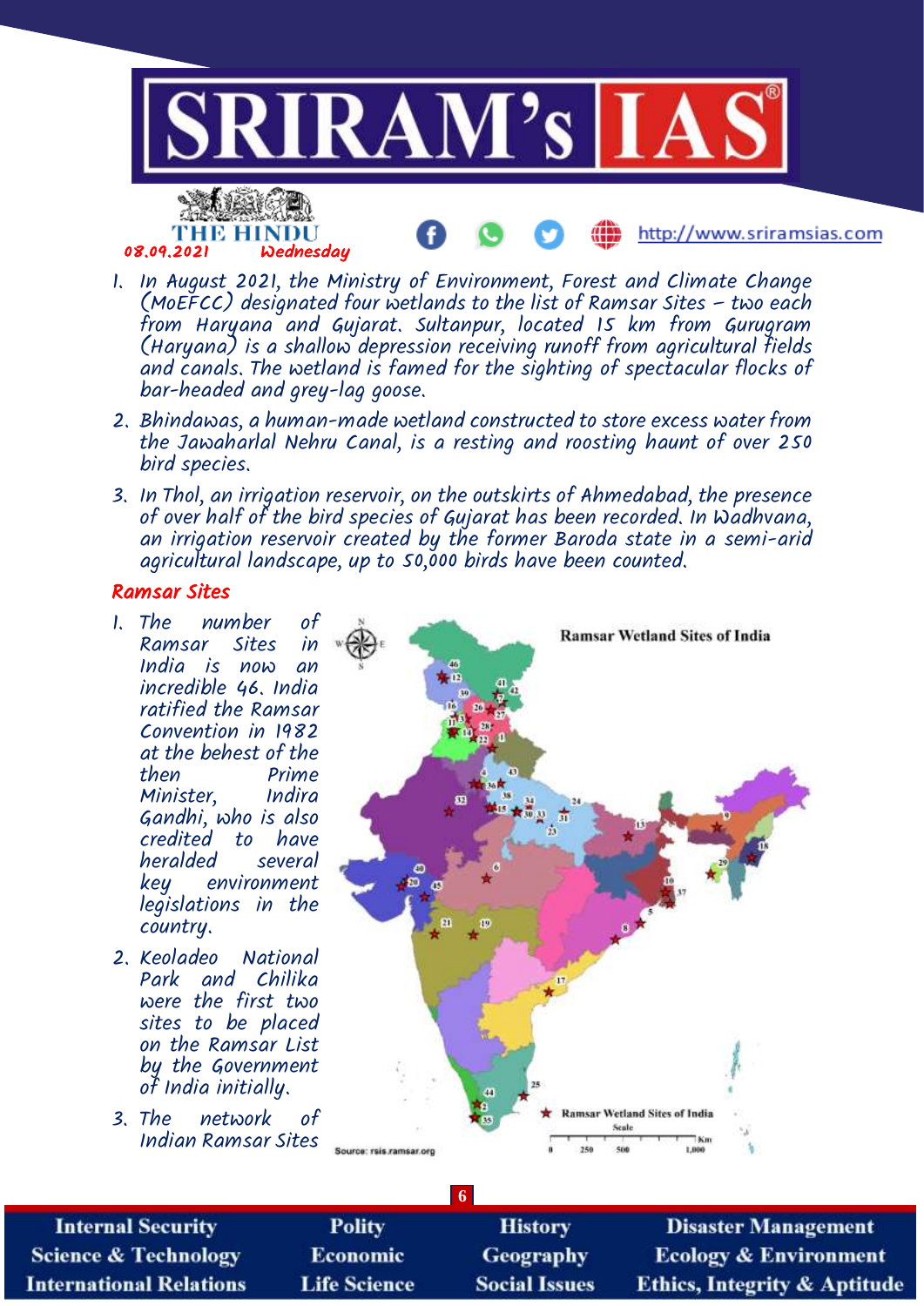

- 1. In August 2021, the Ministry of Environment, Forest and Climate Change (MoEFCC) designated four wetlands to the list of Ramsar Sites  $-$  two each from Haryana and Gujarat. Sultanpur, located 15 km from Gurugram (Haryana) is a shallow depression receiving runoff from agricultural fields and canals. The wetland is famed for the sighting of spectacular flocks of bar-headed and grey-lag goose.
- 2. Bhindawas, a human-made wetland constructed to store excess water from the Jawaharlal Nehru Canal, is a resting and roosting haunt of over 250 bird species.
- 3. In Thol, an irrigation reservoir, on the outskirts of Ahmedabad, the presence of over half of the bird species of Gujarat has been recorded. In Wadhvana, an irrigation reservoir created by the former Baroda state in a semi-arid agricultural landscape, up to 50,000 birds have been counted.

#### Ramsar Sites

- 1. The number of Ramsar Sites in India is now an incredible 46. India ratified the Ramsar Convention in 1982 at the behest of the Prime<br>Indira Minister, Gandhi, who is also credited to have heralded key environment legislations in the country.
- 2. Keoladeo National Park and Chilika were the first two sites to be placed on the Ramsar List by the Government of India initially.
- 3. The network of Indian Ramsar Sites



**Internal Security Science & Technology International Relations** 

**Polity Economic Life Science** 

**History** Geography **Social Issues** 

**6**

**Disaster Management Ecology & Environment Ethics, Integrity & Aptitude**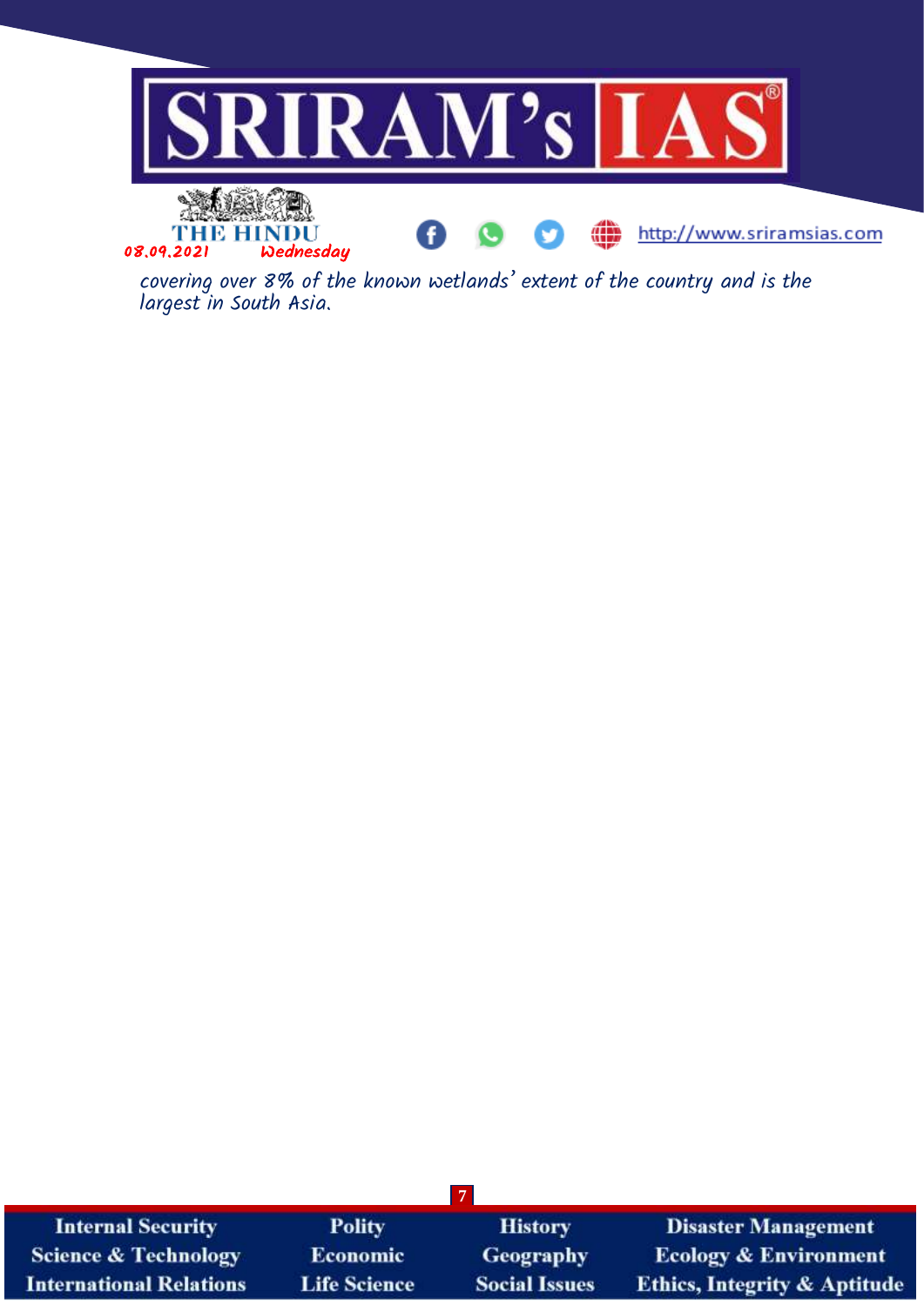

covering over 8% of the known wetlands' extent of the country and is the largest in South Asia.

| <b>Internal Security</b>        | <b>Polity</b>       | <b>History</b>       | <b>Disaster Management</b>              |
|---------------------------------|---------------------|----------------------|-----------------------------------------|
| <b>Science &amp; Technology</b> | <b>Economic</b>     | <b>Geography</b>     | <b>Ecology &amp; Environment</b>        |
| <b>International Relations</b>  | <b>Life Science</b> | <b>Social Issues</b> | <b>Ethics, Integrity &amp; Aptitude</b> |

**7**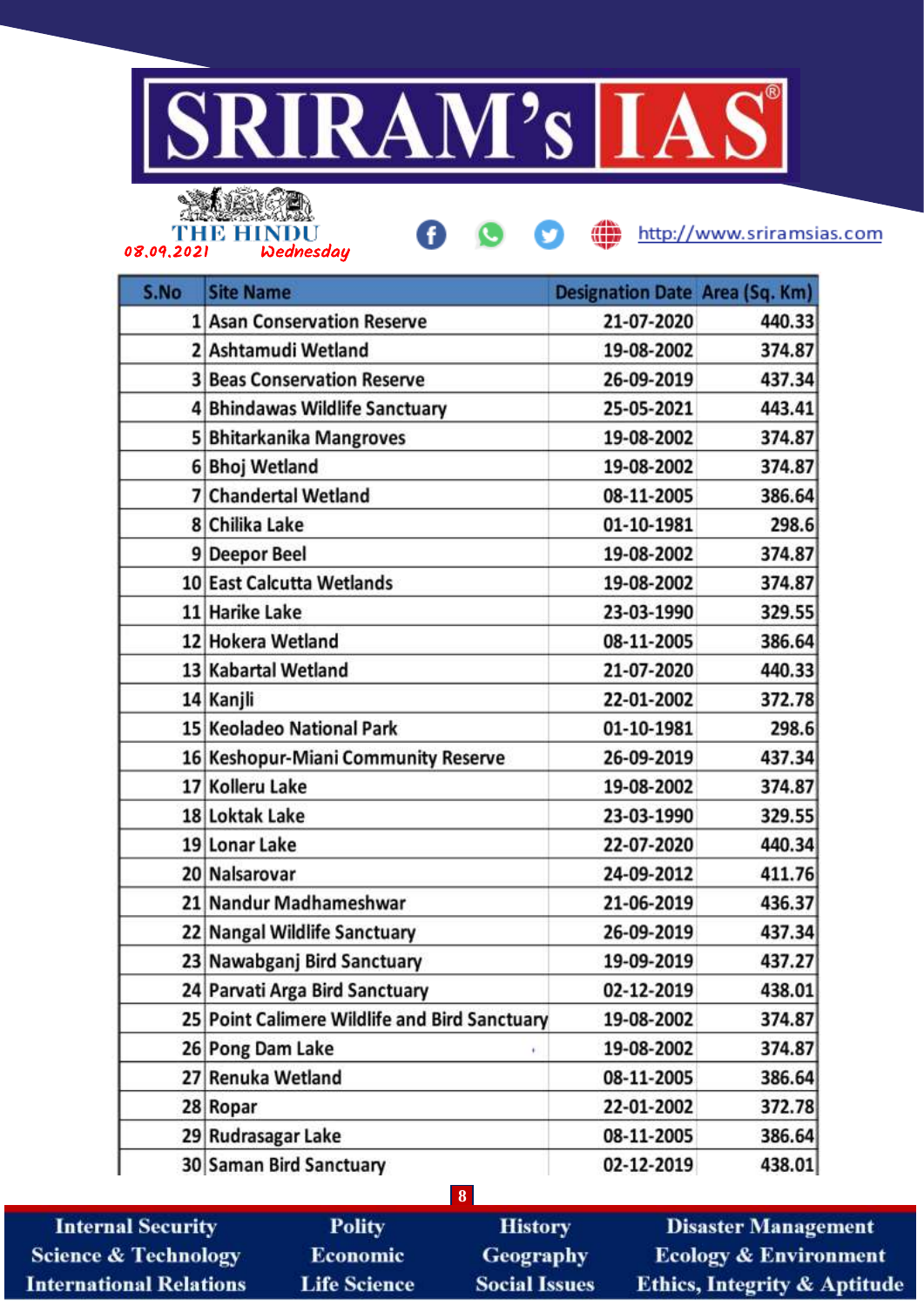



œ

http://www.sriramsias.com

| S.No | <b>Site Name</b>                              | <b>Designation Date Area (Sq. Km)</b> |        |
|------|-----------------------------------------------|---------------------------------------|--------|
|      | 1 Asan Conservation Reserve                   | 21-07-2020                            | 440.33 |
|      | 2 Ashtamudi Wetland                           | 19-08-2002                            | 374.87 |
|      | <b>3 Beas Conservation Reserve</b>            | 26-09-2019                            | 437.34 |
|      | 4 Bhindawas Wildlife Sanctuary                | 25-05-2021                            | 443.41 |
|      | 5 Bhitarkanika Mangroves                      | 19-08-2002                            | 374.87 |
|      | 6 Bhoj Wetland                                | 19-08-2002                            | 374.87 |
|      | 7 Chandertal Wetland                          | 08-11-2005                            | 386.64 |
|      | 8 Chilika Lake                                | 01-10-1981                            | 298.6  |
|      | 9 Deepor Beel                                 | 19-08-2002                            | 374.87 |
|      | 10 East Calcutta Wetlands                     | 19-08-2002                            | 374.87 |
|      | 11 Harike Lake                                | 23-03-1990                            | 329.55 |
|      | 12 Hokera Wetland                             | 08-11-2005                            | 386.64 |
|      | 13 Kabartal Wetland                           | 21-07-2020                            | 440.33 |
|      | 14 Kanjli                                     | 22-01-2002                            | 372.78 |
|      | 15 Keoladeo National Park                     | 01-10-1981                            | 298.6  |
|      | 16 Keshopur-Miani Community Reserve           | 26-09-2019                            | 437.34 |
|      | 17 Kolleru Lake                               | 19-08-2002                            | 374.87 |
|      | 18 Loktak Lake                                | 23-03-1990                            | 329.55 |
|      | 19 Lonar Lake                                 | 22-07-2020                            | 440.34 |
|      | 20 Nalsarovar                                 | 24-09-2012                            | 411.76 |
|      | 21 Nandur Madhameshwar                        | 21-06-2019                            | 436.37 |
|      | 22 Nangal Wildlife Sanctuary                  | 26-09-2019                            | 437.34 |
|      | 23 Nawabganj Bird Sanctuary                   | 19-09-2019                            | 437.27 |
|      | 24 Parvati Arga Bird Sanctuary                | 02-12-2019                            | 438.01 |
|      | 25 Point Calimere Wildlife and Bird Sanctuary | 19-08-2002                            | 374.87 |
|      | 26 Pong Dam Lake                              | 19-08-2002                            | 374.87 |
|      | 27 Renuka Wetland                             | 08-11-2005                            | 386.64 |
|      | 28 Ropar                                      | 22-01-2002                            | 372.78 |
|      | 29 Rudrasagar Lake                            | 08-11-2005                            | 386.64 |
|      | 30 Saman Bird Sanctuary                       | 02-12-2019                            | 438.01 |

**Internal Security Science & Technology International Relations** 

**Polity Economic Life Science** 

**History Geography Social Issues** 

**8**

**Disaster Management Ecology & Environment** Ethics, Integrity & Aptitude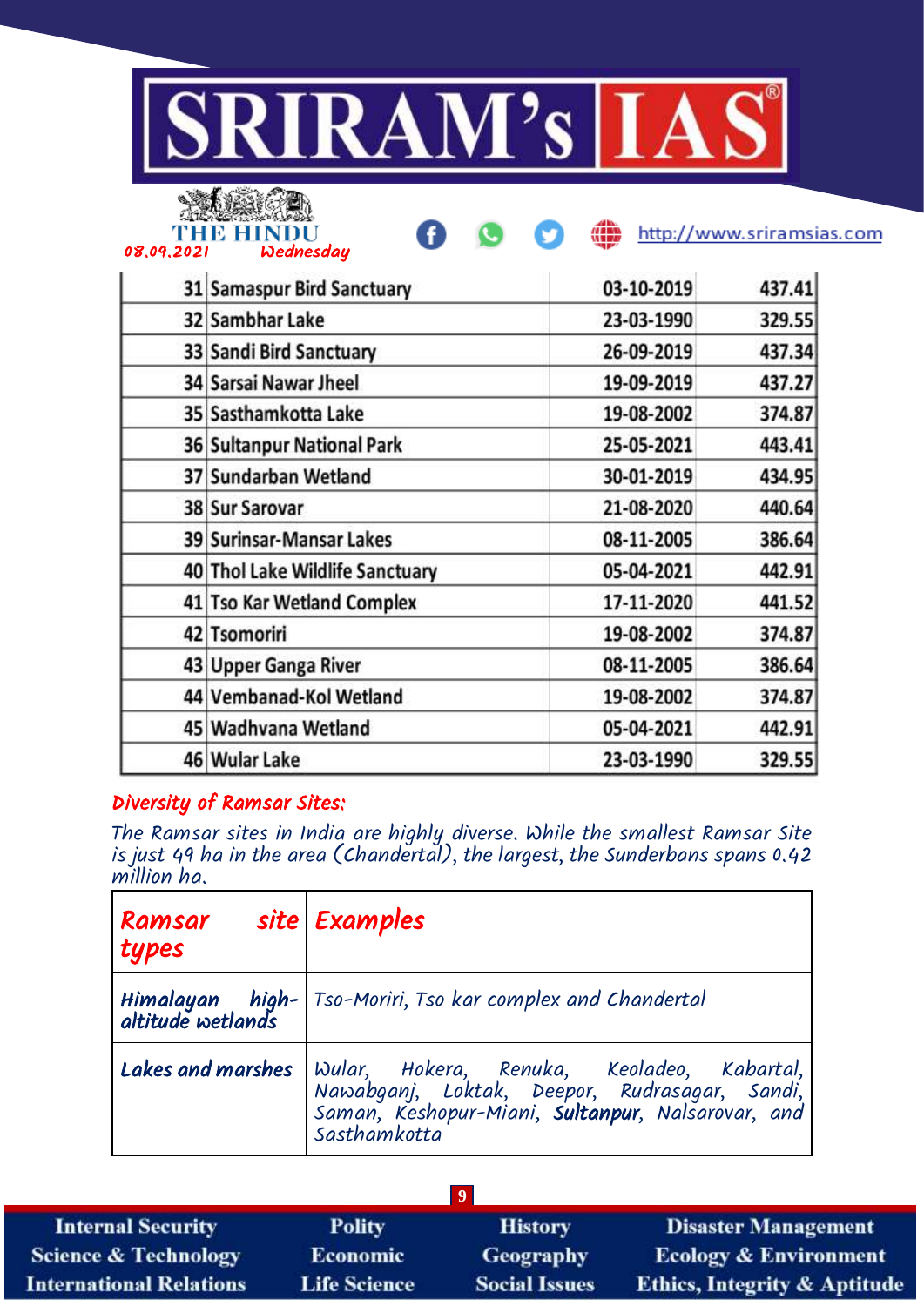

Ð



08.09.2021 Wednesday

http://www.sriramsias.com

| 31 Samaspur Bird Sanctuary      | 03-10-2019 | 437.41 |
|---------------------------------|------------|--------|
| 32 Sambhar Lake                 | 23-03-1990 | 329.55 |
| 33 Sandi Bird Sanctuary         | 26-09-2019 | 437.34 |
| 34 Sarsai Nawar Jheel           | 19-09-2019 | 437.27 |
| 35 Sasthamkotta Lake            | 19-08-2002 | 374.87 |
| 36 Sultanpur National Park      | 25-05-2021 | 443.41 |
| 37 Sundarban Wetland            | 30-01-2019 | 434.95 |
| 38 Sur Sarovar                  | 21-08-2020 | 440.64 |
| 39 Surinsar-Mansar Lakes        | 08-11-2005 | 386.64 |
| 40 Thol Lake Wildlife Sanctuary | 05-04-2021 | 442.91 |
| 41 Tso Kar Wetland Complex      | 17-11-2020 | 441.52 |
| 42 Tsomoriri                    | 19-08-2002 | 374.87 |
| 43 Upper Ganga River            | 08-11-2005 | 386.64 |
| 44 Vembanad-Kol Wetland         | 19-08-2002 | 374.87 |
| 45 Wadhvana Wetland             | 05-04-2021 | 442.91 |
| 46 Wular Lake                   | 23-03-1990 | 329.55 |

## Diversity of Ramsar Sites:

The Ramsar sites in India are highly diverse. While the smallest Ramsar Site is just 49 ha in the area (Chandertal), the largest, the Sunderbans spans 0.42 million ha.

| Ramsar<br>types | site Examples                                                                                                                                                                              |
|-----------------|--------------------------------------------------------------------------------------------------------------------------------------------------------------------------------------------|
|                 | Himalayan high- Tso-Moriri, Tso kar complex and Chandertal<br>altitude wetlands                                                                                                            |
|                 | Lakes and marshes Wular, Hokera, Renuka, Keoladeo, Kabartal,<br>Nawabganj, Loktak, Deepor, Rudrasagar, Sandi,<br>Saman, Keshopur-Miani, <b>Sultanpur</b> , Nalsarovar, and<br>Sasthamkotta |

| <b>Internal Security</b>        | <b>Polity</b>       | <b>History</b>       | <b>Disaster Management</b>              |
|---------------------------------|---------------------|----------------------|-----------------------------------------|
| <b>Science &amp; Technology</b> | <b>Economic</b>     | Geography            | <b>Ecology &amp; Environment</b>        |
| <b>International Relations</b>  | <b>Life Science</b> | <b>Social Issues</b> | <b>Ethics, Integrity &amp; Aptitude</b> |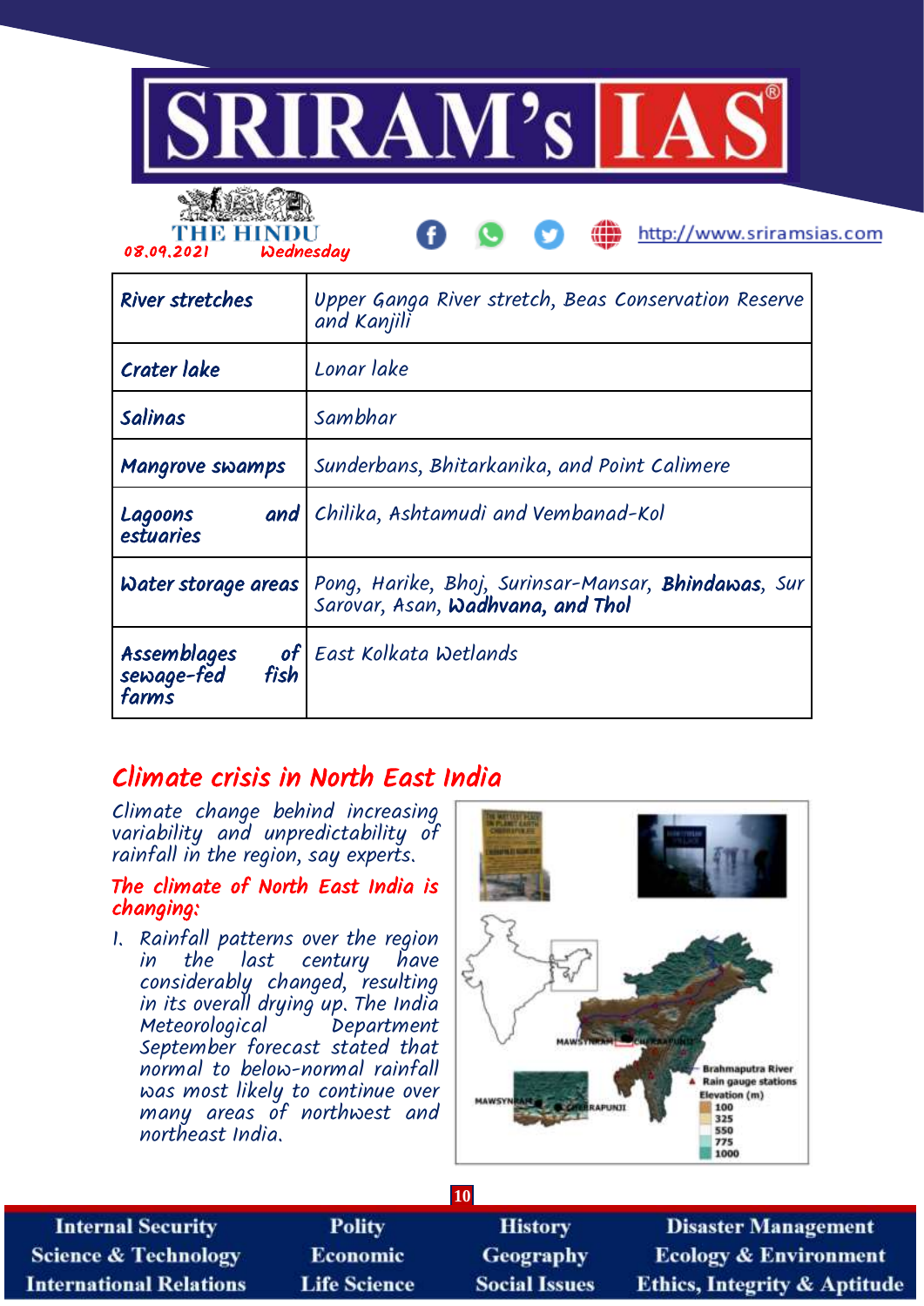



am http://www.sriramsias.com

| <b>River stretches</b>                           | Upper Ganga River stretch, Beas Conservation Reserve<br>and Kanjili                                     |
|--------------------------------------------------|---------------------------------------------------------------------------------------------------------|
| Crater lake                                      | Lonar lake                                                                                              |
| Salinas                                          | Sambhar                                                                                                 |
| <b>Mangrove swamps</b>                           | Sunderbans, Bhitarkanika, and Point Calimere                                                            |
| and  <br>Lagoons<br>estuaries                    | Chilika, Ashtamudi and Vembanad-Kol                                                                     |
| Water storage areas                              | Pong, Harike, Bhoj, Surinsar-Mansar, <b>Bhindawas</b> , Sur<br>Sarovar, Asan, <b>Wadhvana, and Thol</b> |
| Assemblages<br>of<br>sewage-fed<br>fish<br>farms | East Kolkata Wetlands                                                                                   |

## Climate crisis in North East India

Climate change behind increasing variability and unpredictability of rainfall in the region, say experts.

## The climate of North East India is changing:

1. Rainfall patterns over the region in the last century have considerably changed, resulting in its overall drying up. The India Meteorological Department September forecast stated that normal to below-normal rainfall was most likely to continue over many areas of northwest and northeast India.



| <b>10</b>                       |                     |                      |                                         |
|---------------------------------|---------------------|----------------------|-----------------------------------------|
| <b>Internal Security</b>        | <b>Polity</b>       | <b>History</b>       | <b>Disaster Management</b>              |
| <b>Science &amp; Technology</b> | <b>Economic</b>     | <b>Geography</b>     | <b>Ecology &amp; Environment</b>        |
| <b>International Relations</b>  | <b>Life Science</b> | <b>Social Issues</b> | <b>Ethics, Integrity &amp; Aptitude</b> |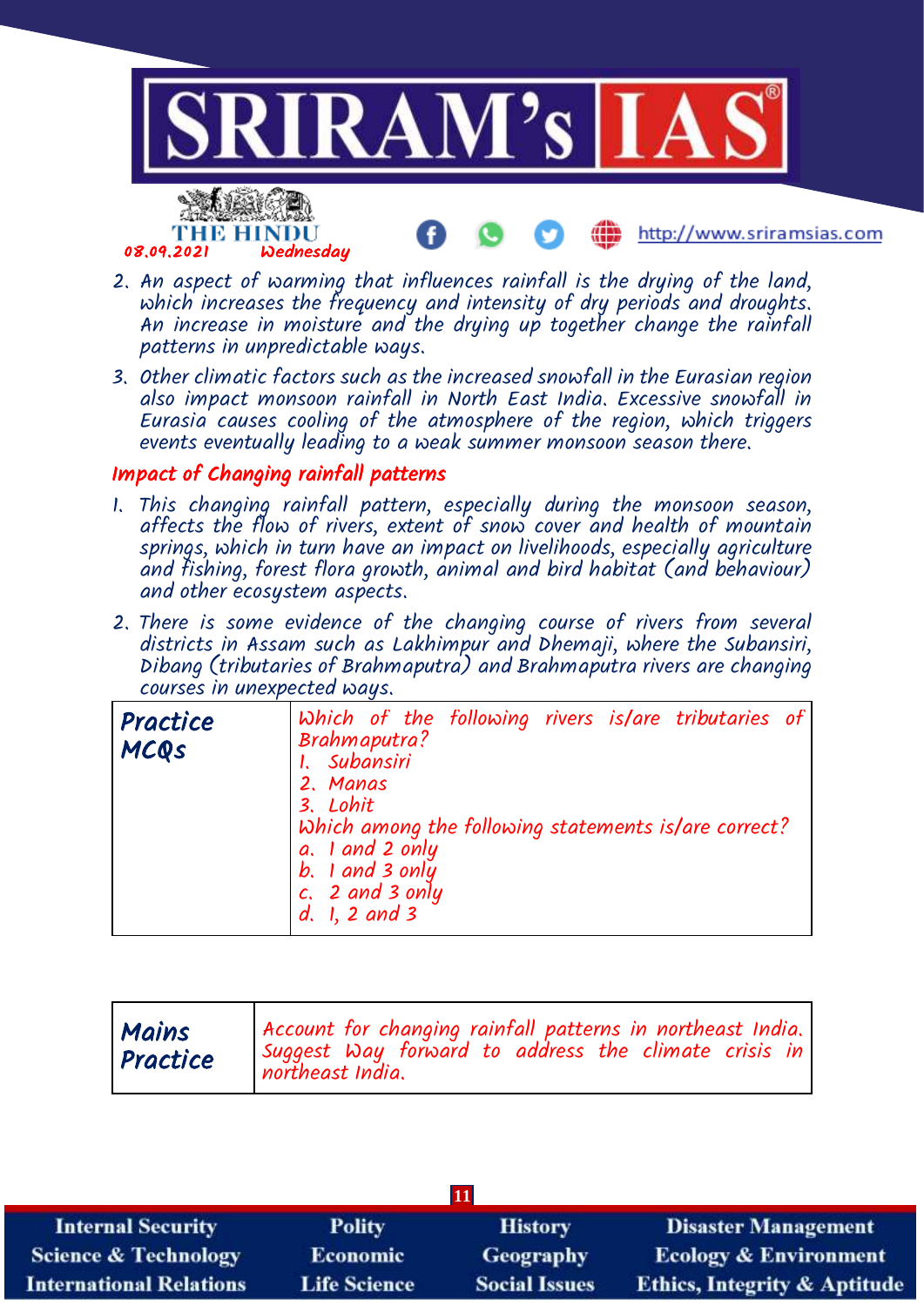

- 2. An aspect of warming that influences rainfall is the drying of the land, which increases the frequency and intensity of dry periods and droughts. An increase in moisture and the drying up together change the rainfall patterns in unpredictable ways.
- 3. Other climatic factors such as the increased snowfall in the Eurasian region also impact monsoon rainfall in North East India. Excessive snowfall in Eurasia causes cooling of the atmosphere of the region, which triggers events eventually leading to a weak summer monsoon season there.

## Impact of Changing rainfall patterns

- 1. This changing rainfall pattern, especially during the monsoon season, affects the flow of rivers, extent of snow cover and health of mountain springs, which in turn have an impact on livelihoods, especially agriculture and fishing, forest flora growth, animal and bird habitat (and behaviour) and other ecosystem aspects.
- 2. There is some evidence of the changing course of rivers from several districts in Assam such as Lakhimpur and Dhemaji, where the Subansiri, Dibang (tributaries of Brahmaputra) and Brahmaputra rivers are changing courses in unexpected ways.

| Practice<br>MCQS | Which of the following rivers is/are tributaries of<br>Brahmaputra?<br>1. Subansiri<br>2. Manas<br>3. Lohit<br>Which among the following statements is/are correct?<br>a. I and 2 only<br>$b.$ 1 and 3 only<br>$c, 2$ and 3 only<br>d. 1, 2 and 3 |
|------------------|---------------------------------------------------------------------------------------------------------------------------------------------------------------------------------------------------------------------------------------------------|
|------------------|---------------------------------------------------------------------------------------------------------------------------------------------------------------------------------------------------------------------------------------------------|

| $\vert$ 11                      |                     |                      |                                         |
|---------------------------------|---------------------|----------------------|-----------------------------------------|
| <b>Internal Security</b>        | <b>Polity</b>       | <b>History</b>       | <b>Disaster Management</b>              |
| <b>Science &amp; Technology</b> | <b>Economic</b>     | <b>Geography</b>     | <b>Ecology &amp; Environment</b>        |
| <b>International Relations</b>  | <b>Life Science</b> | <b>Social Issues</b> | <b>Ethics, Integrity &amp; Aptitude</b> |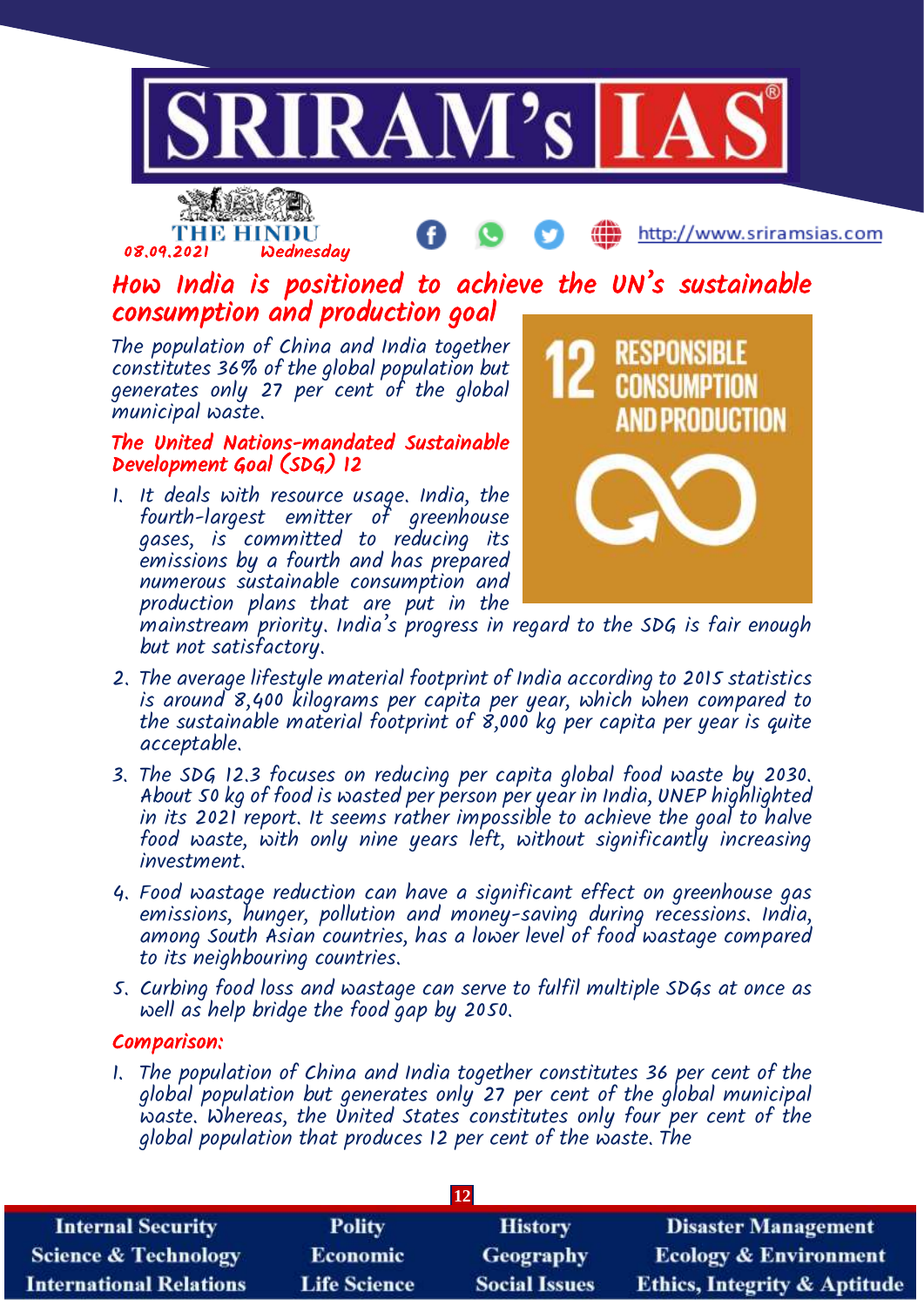



http://www.sriramsias.com

## How India is positioned to achieve the UN's sustainable consumption and production goal

The population of China and India together constitutes 36% of the global population but generates only 27 per cent of the global municipal waste.

### The United Nations-mandated Sustainable Development Goal (SDG) 12

1. It deals with resource usage. India, the fourth-largest emitter of greenhouse gases, is committed to reducing its emissions by a fourth and has prepared numerous sustainable consumption and production plans that are put in the



mainstream priority. India's progress in regard to the SDG is fair enough but not satisfactory.

- 2. The average lifestyle material footprint of India according to 2015 statistics is around 8,400 kilograms per capita per year, which when compared to the sustainable material footprint of  $\dot{\mathcal{S}}$ ,000 kg per capita per year is quite acceptable.
- 3. The SDG 12.3 focuses on reducing per capita global food waste by 2030. About 50 kg of food is wasted per person per year in India, UNEP highlighted in its 2021 report. It seems rather impossible to achieve the goal to halve food waste, with only nine years left, without significantly increasing investment.
- 4. Food wastage reduction can have a significant effect on greenhouse gas emissions, hunger, pollution and money-saving during recessions. India, among South Asian countries, has a lower level of food wastage compared to its neighbouring countries.
- 5. Curbing food loss and wastage can serve to fulfil multiple SDGs at once as well as help bridge the food gap by 2050.

## Comparison:

1. The population of China and India together constitutes 36 per cent of the global population but generates only 27 per cent of the global municipal waste. Whereas, the United States constitutes only four per cent of the global population that produces 12 per cent of the waste. The

| <b>12</b>                       |                     |                      |                                         |
|---------------------------------|---------------------|----------------------|-----------------------------------------|
| <b>Internal Security</b>        | <b>Polity</b>       | <b>History</b>       | <b>Disaster Management</b>              |
| <b>Science &amp; Technology</b> | <b>Economic</b>     | Geography            | <b>Ecology &amp; Environment</b>        |
| <b>International Relations</b>  | <b>Life Science</b> | <b>Social Issues</b> | <b>Ethics, Integrity &amp; Aptitude</b> |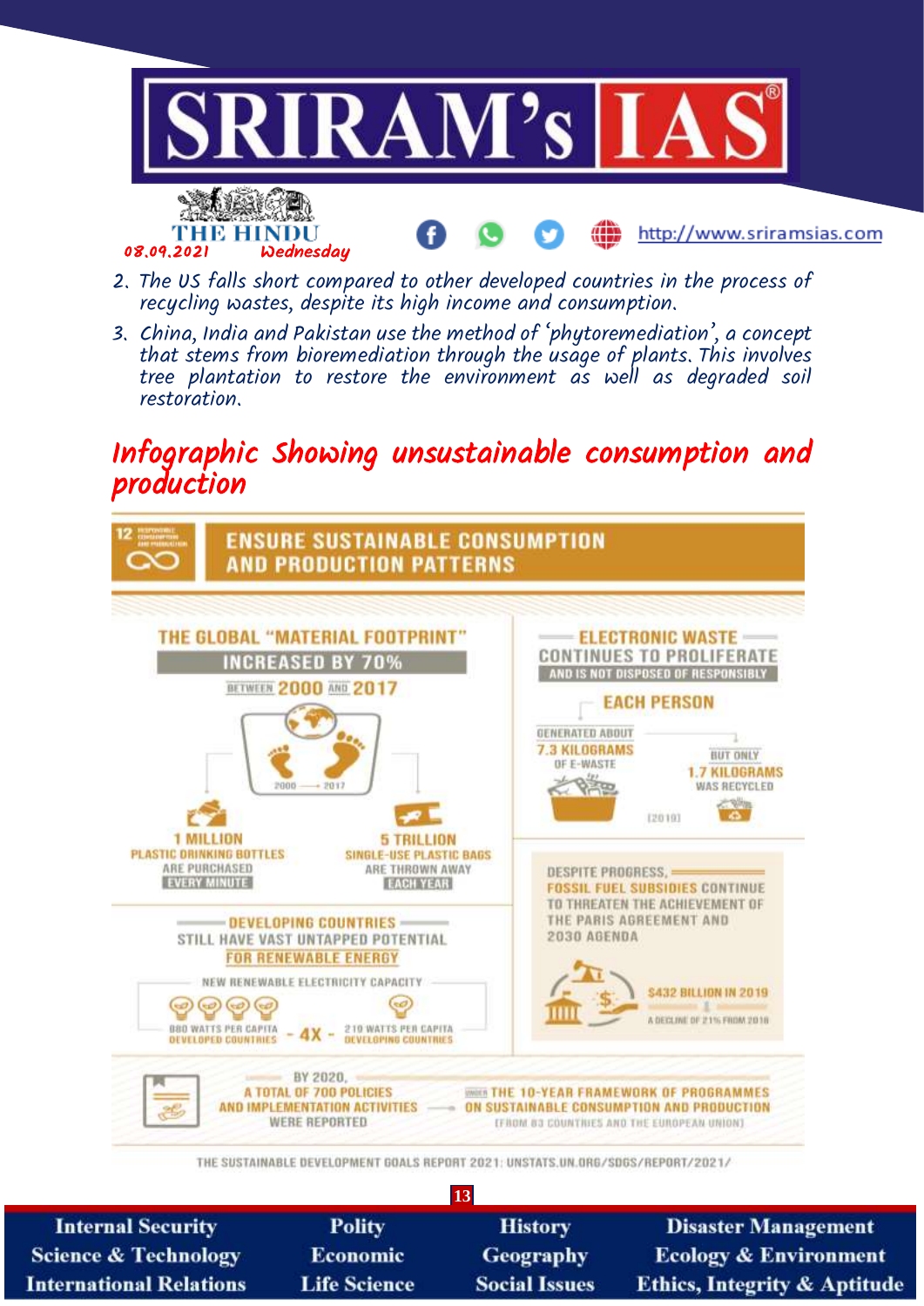

- 2. The US falls short compared to other developed countries in the process of recycling wastes, despite its high income and consumption.
- 3. China, India and Pakistan use the method of 'phytoremediation', a concept that stems from bioremediation through the usage of plants. This involves tree plantation to restore the environment as well as degraded soil restoration.

## Infographic Showing unsustainable consumption and production



THE SUSTAINABLE DEVELOPMENT GOALS REPORT 2021: UNSTATS.UN.ORG/SDGS/REPORT/2021/

| 13                              |                     |                      |                                         |
|---------------------------------|---------------------|----------------------|-----------------------------------------|
| <b>Internal Security</b>        | <b>Polity</b>       | <b>History</b>       | <b>Disaster Management</b>              |
| <b>Science &amp; Technology</b> | <b>Economic</b>     | <b>Geography</b>     | <b>Ecology &amp; Environment</b>        |
| <b>International Relations</b>  | <b>Life Science</b> | <b>Social Issues</b> | <b>Ethics, Integrity &amp; Aptitude</b> |